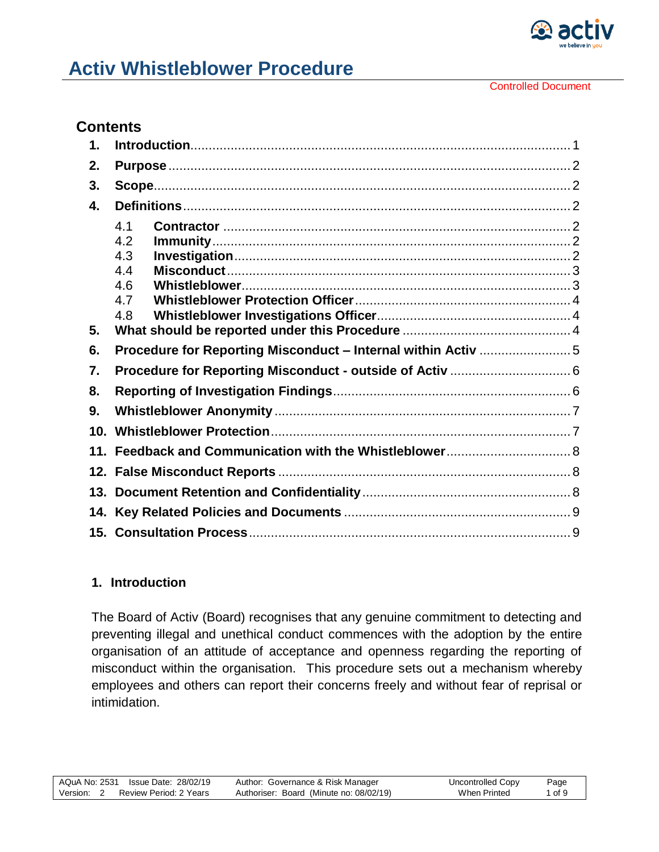

## **Contents**

| 1.              |                                                              |  |
|-----------------|--------------------------------------------------------------|--|
| 2.              |                                                              |  |
| 3.              |                                                              |  |
| $\mathbf{4}$ .  |                                                              |  |
|                 | 4.1<br>4.2<br>4.3<br>4.4                                     |  |
|                 | 4.6                                                          |  |
|                 | 4.7                                                          |  |
|                 | 4.8                                                          |  |
| 5.              |                                                              |  |
| 6.              | Procedure for Reporting Misconduct - Internal within Activ 5 |  |
| 7.              |                                                              |  |
| 8.              |                                                              |  |
| 9.              |                                                              |  |
| 10 <sub>1</sub> |                                                              |  |
| 11.             |                                                              |  |
|                 |                                                              |  |
|                 |                                                              |  |
|                 |                                                              |  |
|                 |                                                              |  |

### <span id="page-0-0"></span>**1. Introduction**

The Board of Activ (Board) recognises that any genuine commitment to detecting and preventing illegal and unethical conduct commences with the adoption by the entire organisation of an attitude of acceptance and openness regarding the reporting of misconduct within the organisation. This procedure sets out a mechanism whereby employees and others can report their concerns freely and without fear of reprisal or intimidation.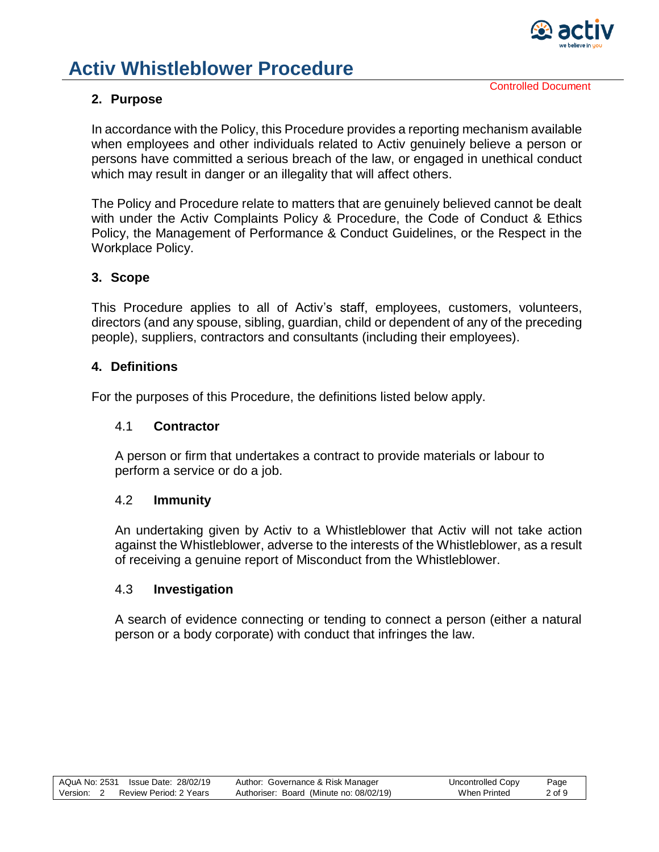

### <span id="page-1-0"></span>**2. Purpose**

In accordance with the Policy, this Procedure provides a reporting mechanism available when employees and other individuals related to Activ genuinely believe a person or persons have committed a serious breach of the law, or engaged in unethical conduct which may result in danger or an illegality that will affect others.

The Policy and Procedure relate to matters that are genuinely believed cannot be dealt with under the Activ Complaints Policy & Procedure, the Code of Conduct & Ethics Policy, the Management of Performance & Conduct Guidelines, or the Respect in the Workplace Policy.

### <span id="page-1-1"></span>**3. Scope**

This Procedure applies to all of Activ's staff, employees, customers, volunteers, directors (and any spouse, sibling, guardian, child or dependent of any of the preceding people), suppliers, contractors and consultants (including their employees).

### <span id="page-1-2"></span>**4. Definitions**

<span id="page-1-3"></span>For the purposes of this Procedure, the definitions listed below apply.

### 4.1 **Contractor**

A person or firm that undertakes a contract to provide materials or labour to perform a service or do a job.

### <span id="page-1-4"></span>4.2 **Immunity**

An undertaking given by Activ to a Whistleblower that Activ will not take action against the Whistleblower, adverse to the interests of the Whistleblower, as a result of receiving a genuine report of Misconduct from the Whistleblower.

### <span id="page-1-5"></span>4.3 **Investigation**

A search of evidence connecting or tending to connect a person (either a natural person or a body corporate) with conduct that infringes the law.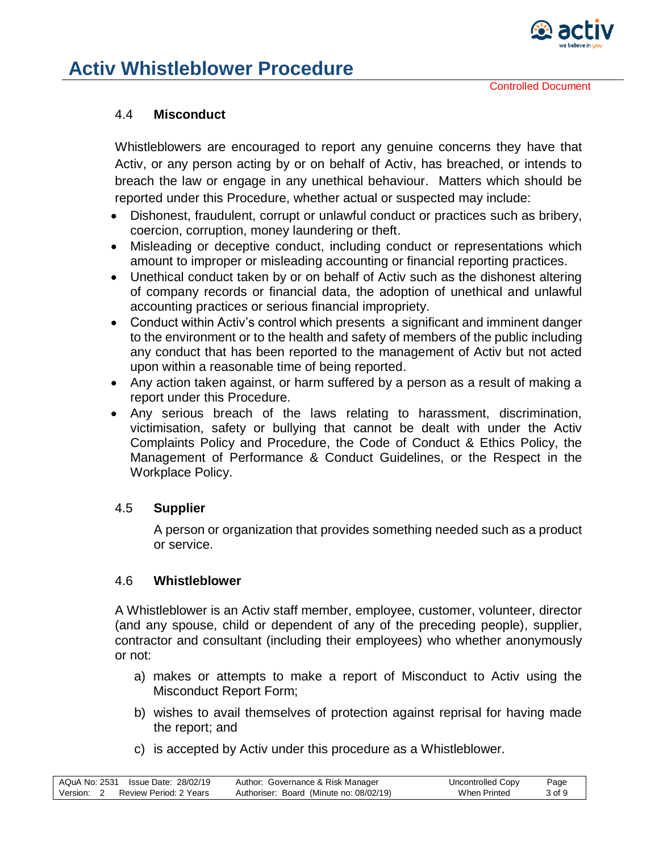

### <span id="page-2-0"></span>4.4 **Misconduct**

Whistleblowers are encouraged to report any genuine concerns they have that Activ, or any person acting by or on behalf of Activ, has breached, or intends to breach the law or engage in any unethical behaviour. Matters which should be reported under this Procedure, whether actual or suspected may include:

- Dishonest, fraudulent, corrupt or unlawful conduct or practices such as bribery, coercion, corruption, money laundering or theft.
- Misleading or deceptive conduct, including conduct or representations which amount to improper or misleading accounting or financial reporting practices.
- Unethical conduct taken by or on behalf of Activ such as the dishonest altering of company records or financial data, the adoption of unethical and unlawful accounting practices or serious financial impropriety.
- Conduct within Activ's control which presents a significant and imminent danger to the environment or to the health and safety of members of the public including any conduct that has been reported to the management of Activ but not acted upon within a reasonable time of being reported.
- Any action taken against, or harm suffered by a person as a result of making a report under this Procedure.
- Any serious breach of the laws relating to harassment, discrimination, victimisation, safety or bullying that cannot be dealt with under the Activ Complaints Policy and Procedure, the Code of Conduct & Ethics Policy, the Management of Performance & Conduct Guidelines, or the Respect in the Workplace Policy.

### 4.5 **Supplier**

A person or organization that provides something needed such as a product or service.

### <span id="page-2-1"></span>4.6 **Whistleblower**

A Whistleblower is an Activ staff member, employee, customer, volunteer, director (and any spouse, child or dependent of any of the preceding people), supplier, contractor and consultant (including their employees) who whether anonymously or not:

- a) makes or attempts to make a report of Misconduct to Activ using the Misconduct Report Form;
- b) wishes to avail themselves of protection against reprisal for having made the report; and
- c) is accepted by Activ under this procedure as a Whistleblower.

|          |                        | Author: Governance & Risk Manager       | Uncontrolled Copy | Page   |
|----------|------------------------|-----------------------------------------|-------------------|--------|
| Version: | Review Period: 2 Years | Authoriser: Board (Minute no: 08/02/19) | When Printed      | 3 of 9 |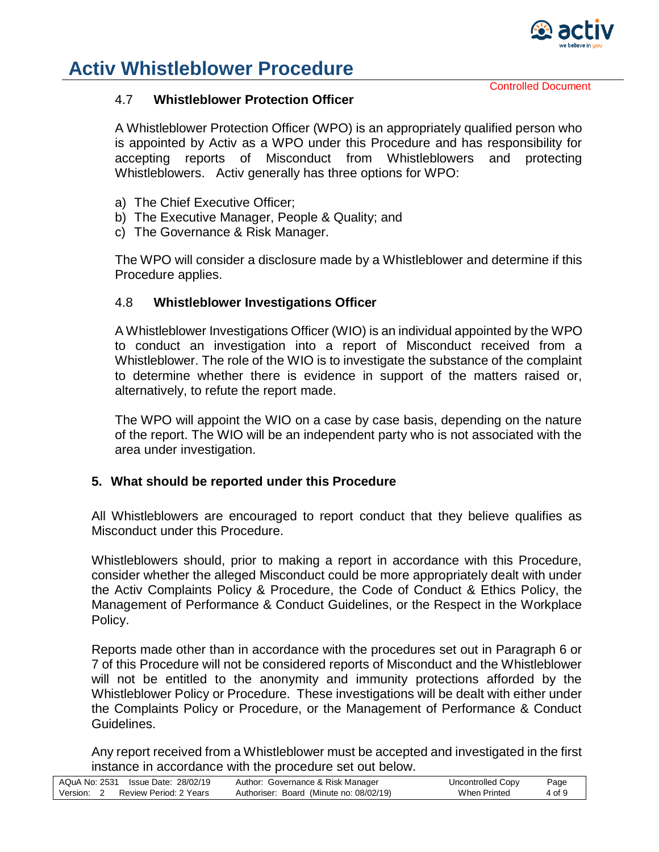

#### <span id="page-3-0"></span>4.7 **Whistleblower Protection Officer**

A Whistleblower Protection Officer (WPO) is an appropriately qualified person who is appointed by Activ as a WPO under this Procedure and has responsibility for accepting reports of Misconduct from Whistleblowers and protecting Whistleblowers. Activ generally has three options for WPO:

- a) The Chief Executive Officer;
- b) The Executive Manager, People & Quality; and
- c) The Governance & Risk Manager.

The WPO will consider a disclosure made by a Whistleblower and determine if this Procedure applies.

#### <span id="page-3-1"></span>4.8 **Whistleblower Investigations Officer**

A Whistleblower Investigations Officer (WIO) is an individual appointed by the WPO to conduct an investigation into a report of Misconduct received from a Whistleblower. The role of the WIO is to investigate the substance of the complaint to determine whether there is evidence in support of the matters raised or, alternatively, to refute the report made.

The WPO will appoint the WIO on a case by case basis, depending on the nature of the report. The WIO will be an independent party who is not associated with the area under investigation.

### <span id="page-3-2"></span>**5. What should be reported under this Procedure**

All Whistleblowers are encouraged to report conduct that they believe qualifies as Misconduct under this Procedure.

Whistleblowers should, prior to making a report in accordance with this Procedure, consider whether the alleged Misconduct could be more appropriately dealt with under the Activ Complaints Policy & Procedure, the Code of Conduct & Ethics Policy, the Management of Performance & Conduct Guidelines, or the Respect in the Workplace Policy.

Reports made other than in accordance with the procedures set out in Paragraph 6 or 7 of this Procedure will not be considered reports of Misconduct and the Whistleblower will not be entitled to the anonymity and immunity protections afforded by the Whistleblower Policy or Procedure. These investigations will be dealt with either under the Complaints Policy or Procedure, or the Management of Performance & Conduct Guidelines.

Any report received from a Whistleblower must be accepted and investigated in the first instance in accordance with the procedure set out below.

|          | AQuA No. 2531 Issue Date: 28/02/19 | Author: Governance & Risk Manager       | Uncontrolled Copy   | Page   |
|----------|------------------------------------|-----------------------------------------|---------------------|--------|
| Version: | Review Period: 2 Years             | Authoriser: Board (Minute no: 08/02/19) | <b>When Printed</b> | 4 of 9 |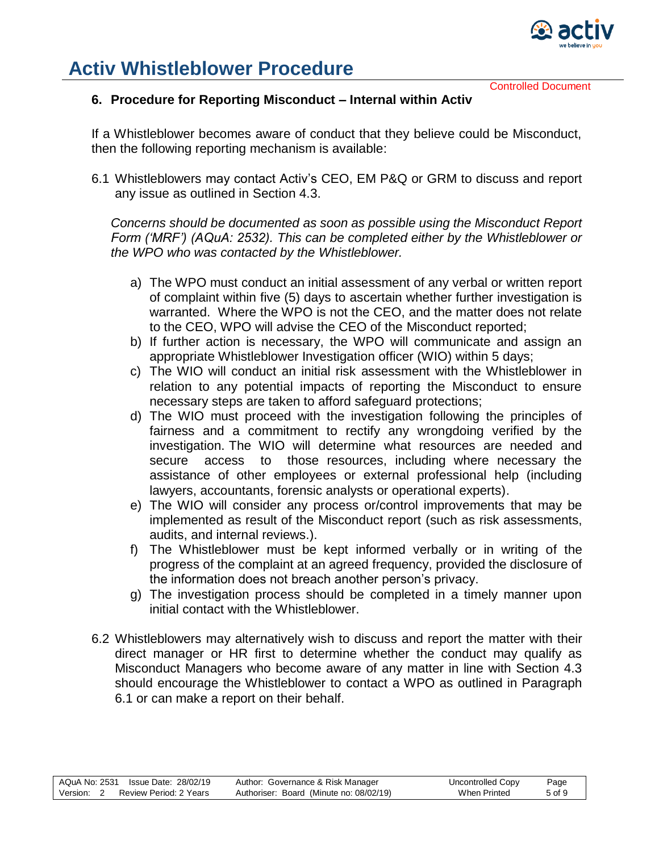

Controlled Document

### <span id="page-4-0"></span>**6. Procedure for Reporting Misconduct – Internal within Activ**

If a Whistleblower becomes aware of conduct that they believe could be Misconduct, then the following reporting mechanism is available:

6.1 Whistleblowers may contact Activ's CEO, EM P&Q or GRM to discuss and report any issue as outlined in Section 4.3.

*Concerns should be documented as soon as possible using the Misconduct Report Form ('MRF') (AQuA: 2532). This can be completed either by the Whistleblower or the WPO who was contacted by the Whistleblower.* 

- a) The WPO must conduct an initial assessment of any verbal or written report of complaint within five (5) days to ascertain whether further investigation is warranted. Where the WPO is not the CEO, and the matter does not relate to the CEO, WPO will advise the CEO of the Misconduct reported;
- b) If further action is necessary, the WPO will communicate and assign an appropriate Whistleblower Investigation officer (WIO) within 5 days;
- c) The WIO will conduct an initial risk assessment with the Whistleblower in relation to any potential impacts of reporting the Misconduct to ensure necessary steps are taken to afford safeguard protections;
- d) The WIO must proceed with the investigation following the principles of fairness and a commitment to rectify any wrongdoing verified by the investigation. The WIO will determine what resources are needed and secure access to those resources, including where necessary the assistance of other employees or external professional help (including lawyers, accountants, forensic analysts or operational experts).
- e) The WIO will consider any process or/control improvements that may be implemented as result of the Misconduct report (such as risk assessments, audits, and internal reviews.).
- f) The Whistleblower must be kept informed verbally or in writing of the progress of the complaint at an agreed frequency, provided the disclosure of the information does not breach another person's privacy.
- g) The investigation process should be completed in a timely manner upon initial contact with the Whistleblower.
- 6.2 Whistleblowers may alternatively wish to discuss and report the matter with their direct manager or HR first to determine whether the conduct may qualify as Misconduct Managers who become aware of any matter in line with Section 4.3 should encourage the Whistleblower to contact a WPO as outlined in Paragraph 6.1 or can make a report on their behalf.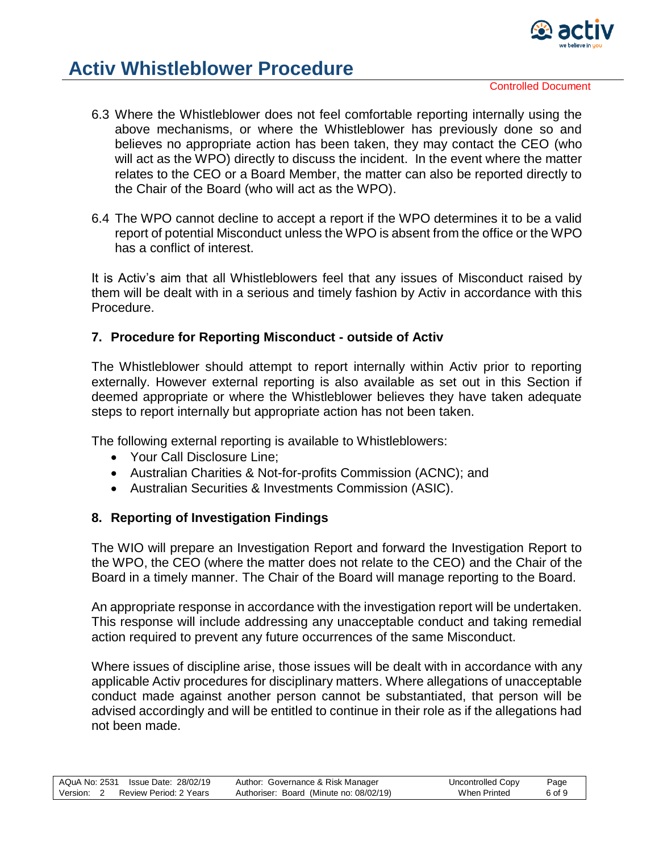

Controlled Document

- 6.3 Where the Whistleblower does not feel comfortable reporting internally using the above mechanisms, or where the Whistleblower has previously done so and believes no appropriate action has been taken, they may contact the CEO (who will act as the WPO) directly to discuss the incident. In the event where the matter relates to the CEO or a Board Member, the matter can also be reported directly to the Chair of the Board (who will act as the WPO).
- 6.4 The WPO cannot decline to accept a report if the WPO determines it to be a valid report of potential Misconduct unless the WPO is absent from the office or the WPO has a conflict of interest.

It is Activ's aim that all Whistleblowers feel that any issues of Misconduct raised by them will be dealt with in a serious and timely fashion by Activ in accordance with this Procedure.

### <span id="page-5-0"></span>**7. Procedure for Reporting Misconduct - outside of Activ**

The Whistleblower should attempt to report internally within Activ prior to reporting externally. However external reporting is also available as set out in this Section if deemed appropriate or where the Whistleblower believes they have taken adequate steps to report internally but appropriate action has not been taken.

The following external reporting is available to Whistleblowers:

- Your Call Disclosure Line:
- Australian Charities & Not-for-profits Commission (ACNC); and
- Australian Securities & Investments Commission (ASIC).

### <span id="page-5-1"></span>**8. Reporting of Investigation Findings**

The WIO will prepare an Investigation Report and forward the Investigation Report to the WPO, the CEO (where the matter does not relate to the CEO) and the Chair of the Board in a timely manner. The Chair of the Board will manage reporting to the Board.

An appropriate response in accordance with the investigation report will be undertaken. This response will include addressing any unacceptable conduct and taking remedial action required to prevent any future occurrences of the same Misconduct.

Where issues of discipline arise, those issues will be dealt with in accordance with any applicable Activ procedures for disciplinary matters. Where allegations of unacceptable conduct made against another person cannot be substantiated, that person will be advised accordingly and will be entitled to continue in their role as if the allegations had not been made.

|                                    | Author: Governance & Risk Manager       | Uncontrolled Copy | Page   |
|------------------------------------|-----------------------------------------|-------------------|--------|
| Version:<br>Review Period: 2 Years | Authoriser: Board (Minute no: 08/02/19) | When Printed      | 6 of 9 |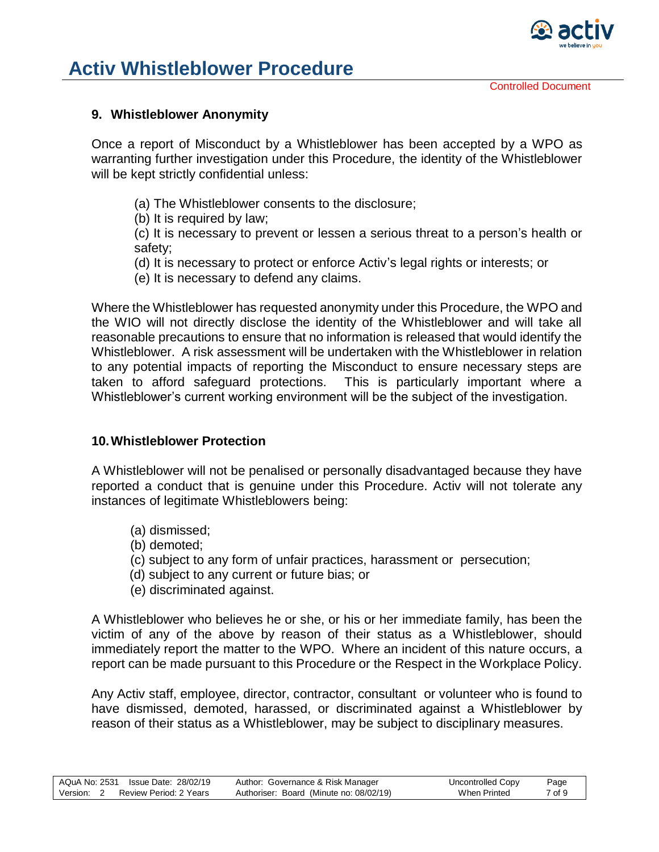

### <span id="page-6-0"></span>**9. Whistleblower Anonymity**

Once a report of Misconduct by a Whistleblower has been accepted by a WPO as warranting further investigation under this Procedure, the identity of the Whistleblower will be kept strictly confidential unless:

- (a) The Whistleblower consents to the disclosure;
- (b) It is required by law;

(c) It is necessary to prevent or lessen a serious threat to a person's health or safety;

- (d) It is necessary to protect or enforce Activ's legal rights or interests; or
- (e) It is necessary to defend any claims.

Where the Whistleblower has requested anonymity under this Procedure, the WPO and the WIO will not directly disclose the identity of the Whistleblower and will take all reasonable precautions to ensure that no information is released that would identify the Whistleblower. A risk assessment will be undertaken with the Whistleblower in relation to any potential impacts of reporting the Misconduct to ensure necessary steps are taken to afford safeguard protections. This is particularly important where a Whistleblower's current working environment will be the subject of the investigation.

#### <span id="page-6-1"></span>**10.Whistleblower Protection**

A Whistleblower will not be penalised or personally disadvantaged because they have reported a conduct that is genuine under this Procedure. Activ will not tolerate any instances of legitimate Whistleblowers being:

- (a) dismissed;
- (b) demoted;
- (c) subject to any form of unfair practices, harassment or persecution;
- (d) subject to any current or future bias; or
- (e) discriminated against.

A Whistleblower who believes he or she, or his or her immediate family, has been the victim of any of the above by reason of their status as a Whistleblower, should immediately report the matter to the WPO. Where an incident of this nature occurs, a report can be made pursuant to this Procedure or the Respect in the Workplace Policy.

Any Activ staff, employee, director, contractor, consultant or volunteer who is found to have dismissed, demoted, harassed, or discriminated against a Whistleblower by reason of their status as a Whistleblower, may be subject to disciplinary measures.

| AQuA No: 2531 Issue Date: 28/02/19 | Author: Governance & Risk Manager       | Uncontrolled Copy | Page   |
|------------------------------------|-----------------------------------------|-------------------|--------|
| Version:<br>Review Period: 2 Years | Authoriser: Board (Minute no: 08/02/19) | When Printed      | 7 of 9 |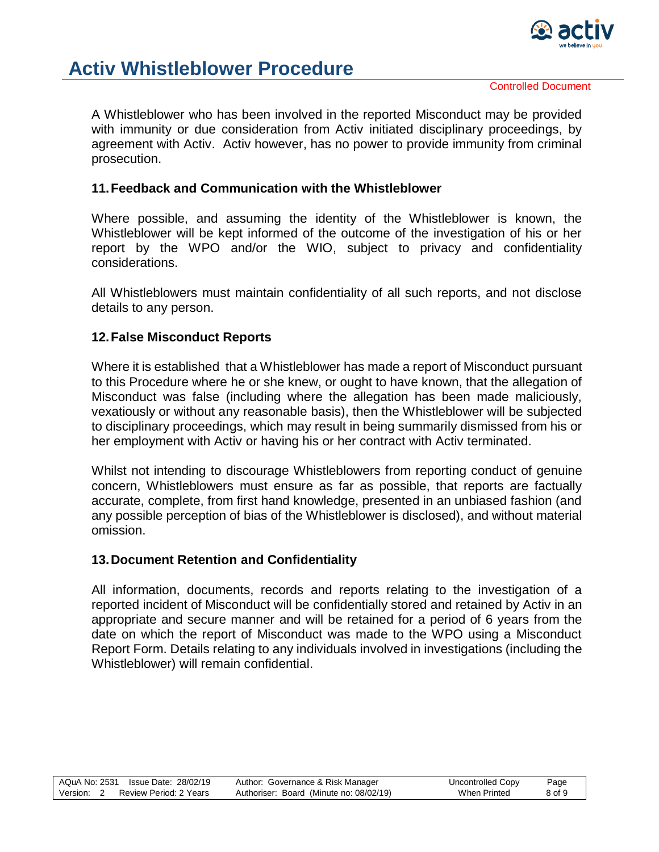

A Whistleblower who has been involved in the reported Misconduct may be provided with immunity or due consideration from Activ initiated disciplinary proceedings, by agreement with Activ. Activ however, has no power to provide immunity from criminal prosecution.

### <span id="page-7-0"></span>**11.Feedback and Communication with the Whistleblower**

Where possible, and assuming the identity of the Whistleblower is known, the Whistleblower will be kept informed of the outcome of the investigation of his or her report by the WPO and/or the WIO, subject to privacy and confidentiality considerations.

All Whistleblowers must maintain confidentiality of all such reports, and not disclose details to any person.

### <span id="page-7-1"></span>**12.False Misconduct Reports**

Where it is established that a Whistleblower has made a report of Misconduct pursuant to this Procedure where he or she knew, or ought to have known, that the allegation of Misconduct was false (including where the allegation has been made maliciously, vexatiously or without any reasonable basis), then the Whistleblower will be subjected to disciplinary proceedings, which may result in being summarily dismissed from his or her employment with Activ or having his or her contract with Activ terminated.

Whilst not intending to discourage Whistleblowers from reporting conduct of genuine concern, Whistleblowers must ensure as far as possible, that reports are factually accurate, complete, from first hand knowledge, presented in an unbiased fashion (and any possible perception of bias of the Whistleblower is disclosed), and without material omission.

### <span id="page-7-2"></span>**13.Document Retention and Confidentiality**

All information, documents, records and reports relating to the investigation of a reported incident of Misconduct will be confidentially stored and retained by Activ in an appropriate and secure manner and will be retained for a period of 6 years from the date on which the report of Misconduct was made to the WPO using a Misconduct Report Form. Details relating to any individuals involved in investigations (including the Whistleblower) will remain confidential.